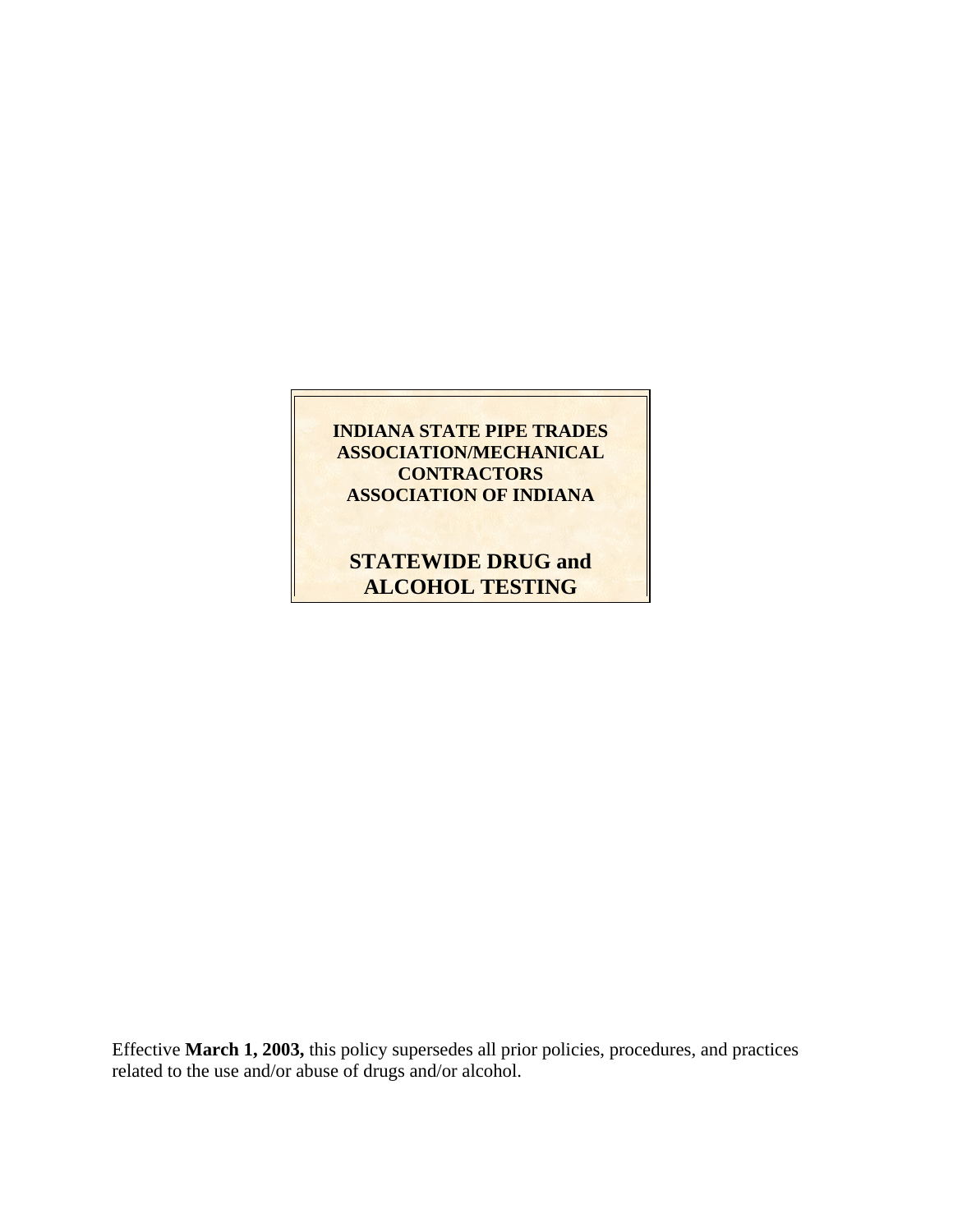### **INDIANA STATE PIPE TRADES ASSOCIATION/MECHANICAL CONTRACTORS ASSOCIATION OF INDIANA**

# **STATEWIDE DRUG and ALCOHOL TESTING**

Effective **March 1, 2003,** this policy supersedes all prior policies, procedures, and practices related to the use and/or abuse of drugs and/or alcohol.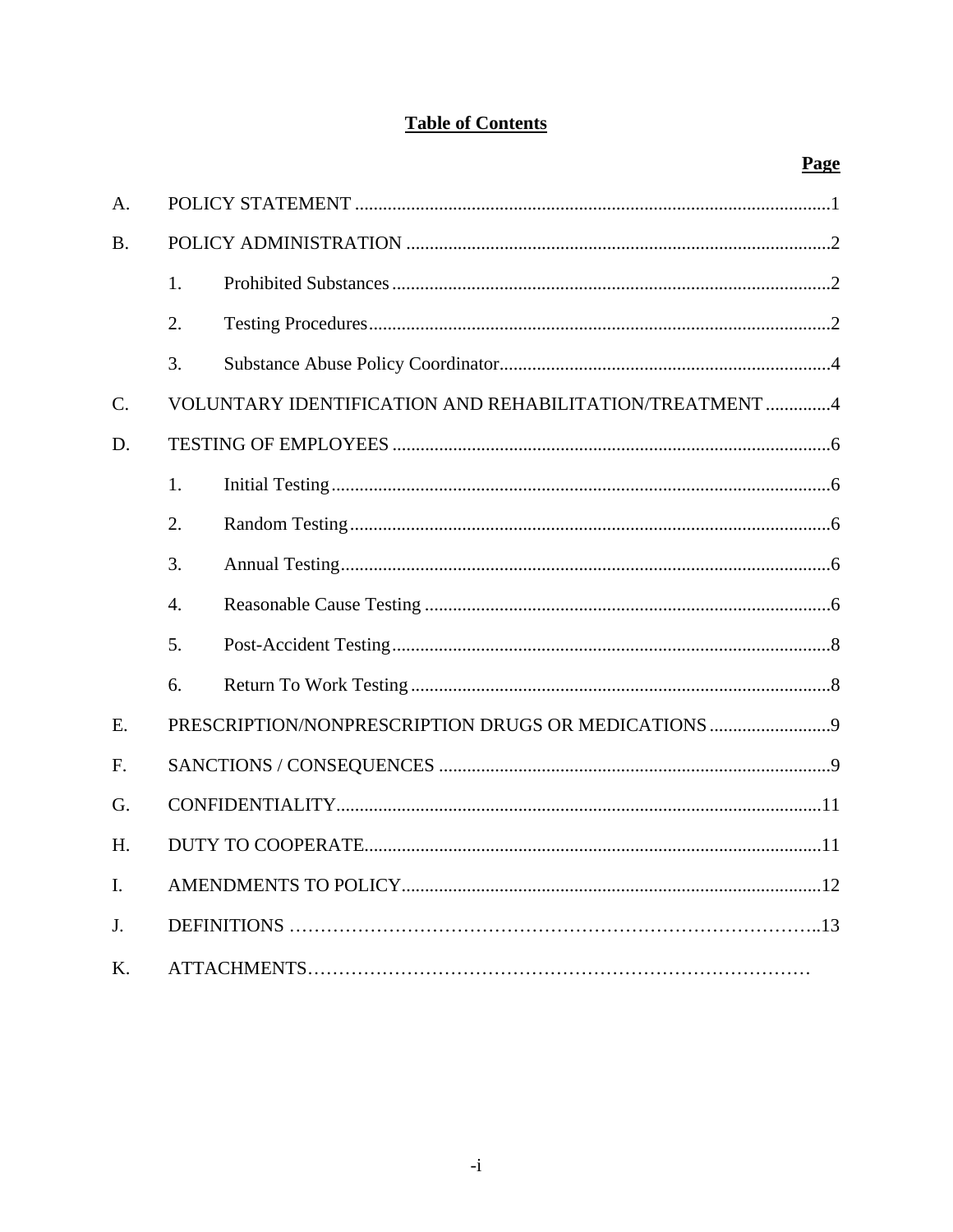# **Table of Contents**

Page

| A.        |                  |                                                         |  |  |
|-----------|------------------|---------------------------------------------------------|--|--|
| <b>B.</b> |                  |                                                         |  |  |
|           | 1.               |                                                         |  |  |
|           | 2.               |                                                         |  |  |
|           | 3.               |                                                         |  |  |
| C.        |                  | VOLUNTARY IDENTIFICATION AND REHABILITATION/TREATMENT 4 |  |  |
| D.        |                  |                                                         |  |  |
|           | 1.               |                                                         |  |  |
|           | 2.               |                                                         |  |  |
|           | 3.               |                                                         |  |  |
|           | $\overline{4}$ . |                                                         |  |  |
|           | 5.               |                                                         |  |  |
|           | 6.               |                                                         |  |  |
| E.        |                  | PRESCRIPTION/NONPRESCRIPTION DRUGS OR MEDICATIONS 9     |  |  |
| F.        |                  |                                                         |  |  |
| G.        |                  |                                                         |  |  |
| H.        |                  |                                                         |  |  |
| I.        |                  |                                                         |  |  |
| J.        |                  |                                                         |  |  |
| K.        |                  |                                                         |  |  |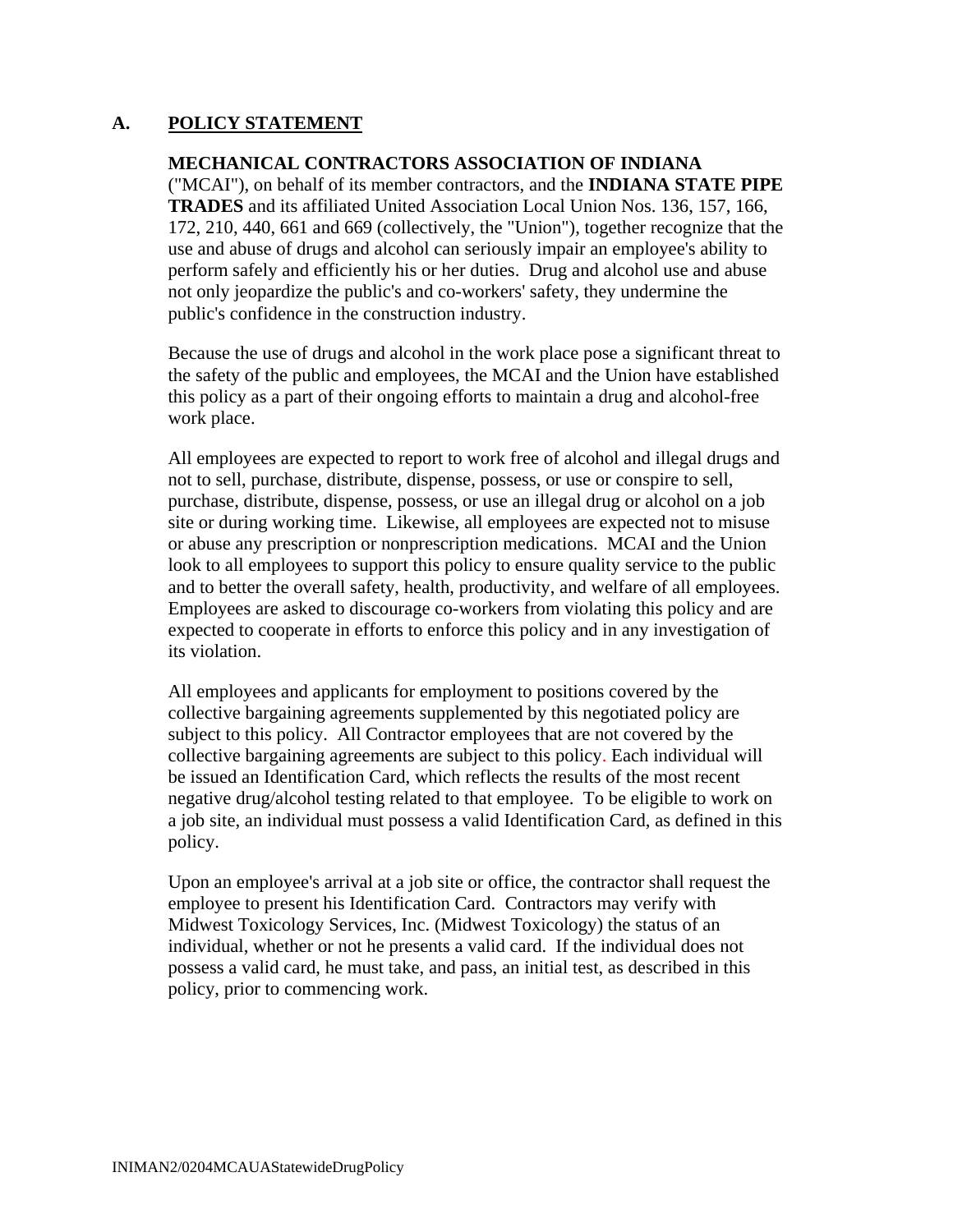#### **A. POLICY STATEMENT**

#### **MECHANICAL CONTRACTORS ASSOCIATION OF INDIANA**

("MCAI"), on behalf of its member contractors, and the **INDIANA STATE PIPE TRADES** and its affiliated United Association Local Union Nos. 136, 157, 166, 172, 210, 440, 661 and 669 (collectively, the "Union"), together recognize that the use and abuse of drugs and alcohol can seriously impair an employee's ability to perform safely and efficiently his or her duties. Drug and alcohol use and abuse not only jeopardize the public's and co-workers' safety, they undermine the public's confidence in the construction industry.

Because the use of drugs and alcohol in the work place pose a significant threat to the safety of the public and employees, the MCAI and the Union have established this policy as a part of their ongoing efforts to maintain a drug and alcohol-free work place.

All employees are expected to report to work free of alcohol and illegal drugs and not to sell, purchase, distribute, dispense, possess, or use or conspire to sell, purchase, distribute, dispense, possess, or use an illegal drug or alcohol on a job site or during working time. Likewise, all employees are expected not to misuse or abuse any prescription or nonprescription medications. MCAI and the Union look to all employees to support this policy to ensure quality service to the public and to better the overall safety, health, productivity, and welfare of all employees. Employees are asked to discourage co-workers from violating this policy and are expected to cooperate in efforts to enforce this policy and in any investigation of its violation.

All employees and applicants for employment to positions covered by the collective bargaining agreements supplemented by this negotiated policy are subject to this policy. All Contractor employees that are not covered by the collective bargaining agreements are subject to this policy. Each individual will be issued an Identification Card, which reflects the results of the most recent negative drug/alcohol testing related to that employee. To be eligible to work on a job site, an individual must possess a valid Identification Card, as defined in this policy.

Upon an employee's arrival at a job site or office, the contractor shall request the employee to present his Identification Card. Contractors may verify with Midwest Toxicology Services, Inc. (Midwest Toxicology) the status of an individual, whether or not he presents a valid card. If the individual does not possess a valid card, he must take, and pass, an initial test, as described in this policy, prior to commencing work.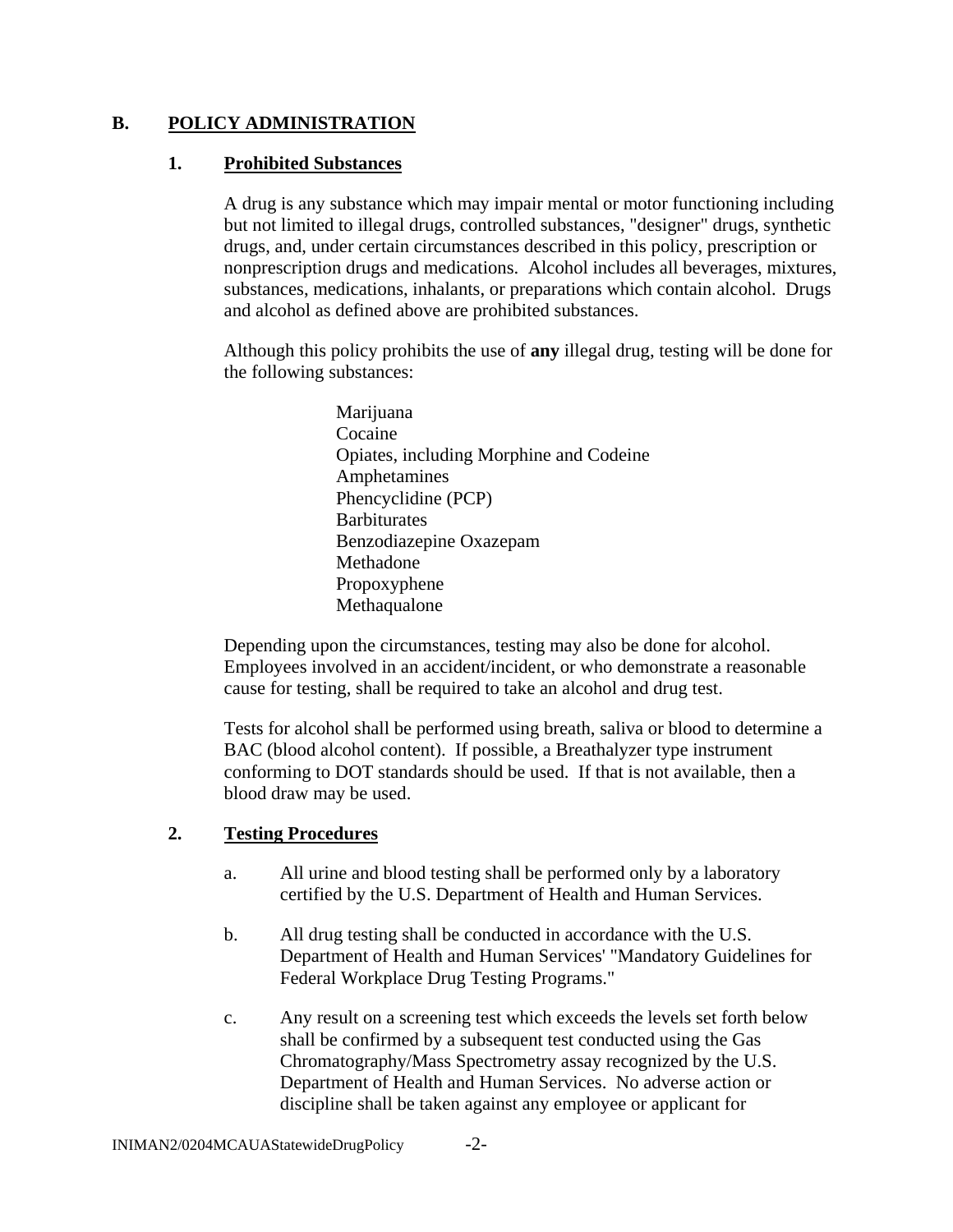### **B. POLICY ADMINISTRATION**

### **1. Prohibited Substances**

A drug is any substance which may impair mental or motor functioning including but not limited to illegal drugs, controlled substances, "designer" drugs, synthetic drugs, and, under certain circumstances described in this policy, prescription or nonprescription drugs and medications. Alcohol includes all beverages, mixtures, substances, medications, inhalants, or preparations which contain alcohol. Drugs and alcohol as defined above are prohibited substances.

Although this policy prohibits the use of **any** illegal drug, testing will be done for the following substances:

> Marijuana Cocaine Opiates, including Morphine and Codeine Amphetamines Phencyclidine (PCP) **Barbiturates** Benzodiazepine Oxazepam Methadone Propoxyphene Methaqualone

Depending upon the circumstances, testing may also be done for alcohol. Employees involved in an accident/incident, or who demonstrate a reasonable cause for testing, shall be required to take an alcohol and drug test.

Tests for alcohol shall be performed using breath, saliva or blood to determine a BAC (blood alcohol content). If possible, a Breathalyzer type instrument conforming to DOT standards should be used. If that is not available, then a blood draw may be used.

# **2. Testing Procedures**

- a. All urine and blood testing shall be performed only by a laboratory certified by the U.S. Department of Health and Human Services.
- b. All drug testing shall be conducted in accordance with the U.S. Department of Health and Human Services' "Mandatory Guidelines for Federal Workplace Drug Testing Programs."
- c. Any result on a screening test which exceeds the levels set forth below shall be confirmed by a subsequent test conducted using the Gas Chromatography/Mass Spectrometry assay recognized by the U.S. Department of Health and Human Services. No adverse action or discipline shall be taken against any employee or applicant for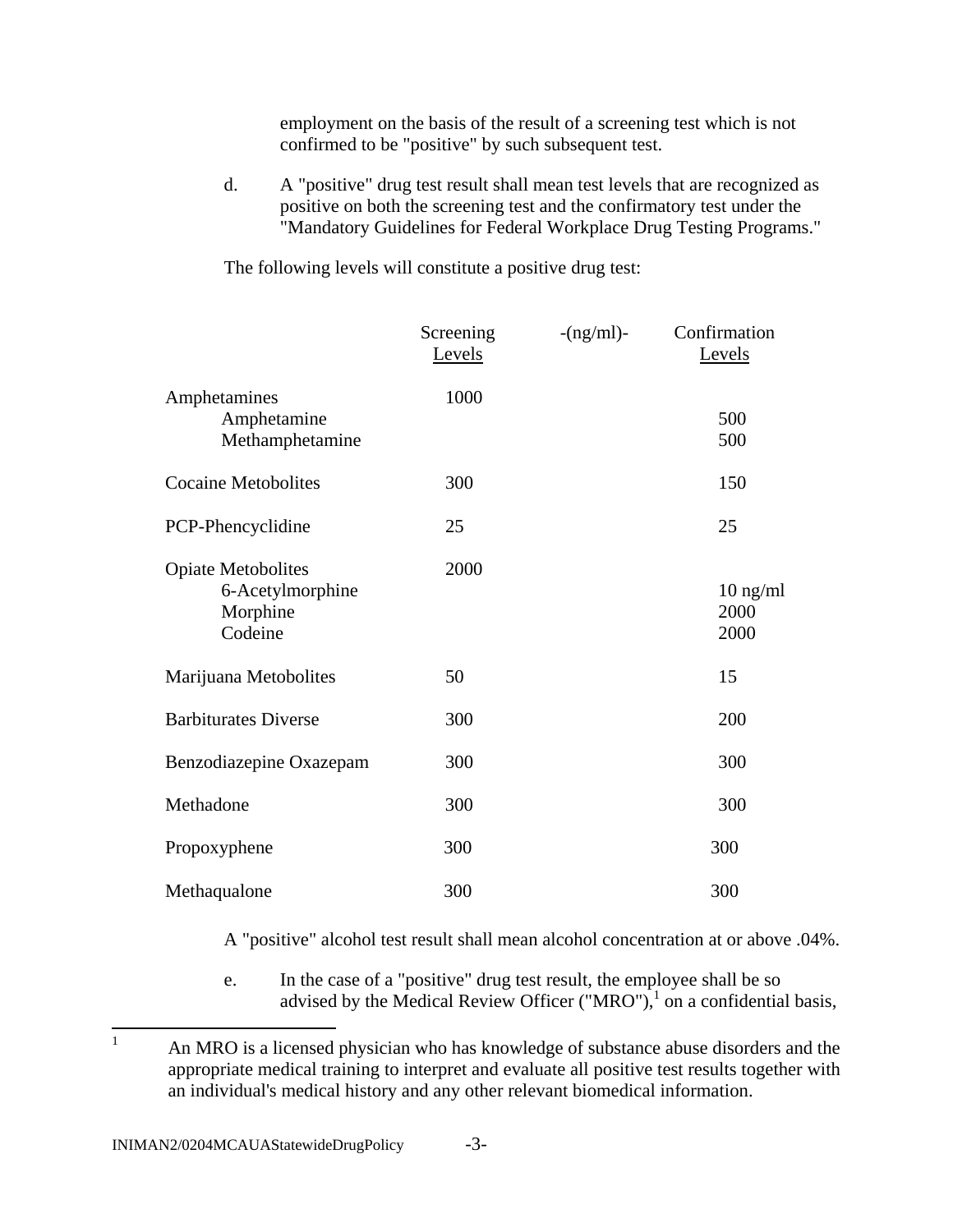employment on the basis of the result of a screening test which is not confirmed to be "positive" by such subsequent test.

d. A "positive" drug test result shall mean test levels that are recognized as positive on both the screening test and the confirmatory test under the "Mandatory Guidelines for Federal Workplace Drug Testing Programs."

The following levels will constitute a positive drug test:

|                                                                      | Screening<br>Levels | $-(ng/ml)$ - | Confirmation<br>Levels             |
|----------------------------------------------------------------------|---------------------|--------------|------------------------------------|
| Amphetamines<br>Amphetamine<br>Methamphetamine                       | 1000                |              | 500<br>500                         |
| <b>Cocaine Metobolites</b>                                           | 300                 |              | 150                                |
| PCP-Phencyclidine                                                    | 25                  |              | 25                                 |
| <b>Opiate Metobolites</b><br>6-Acetylmorphine<br>Morphine<br>Codeine | 2000                |              | $10 \text{ ng/ml}$<br>2000<br>2000 |
| Marijuana Metobolites                                                | 50                  |              | 15                                 |
| <b>Barbiturates Diverse</b>                                          | 300                 |              | 200                                |
| Benzodiazepine Oxazepam                                              | 300                 |              | 300                                |
| Methadone                                                            | 300                 |              | 300                                |
| Propoxyphene                                                         | 300                 |              | 300                                |
| Methaqualone                                                         | 300                 |              | 300                                |

A "positive" alcohol test result shall mean alcohol concentration at or above .04%.

e. In the case of a "positive" drug test result, the employee shall be so advised by the Medical Review Officer ("MRO"),<sup>1</sup> on a confidential basis,

 $\frac{1}{1}$  An MRO is a licensed physician who has knowledge of substance abuse disorders and the appropriate medical training to interpret and evaluate all positive test results together with an individual's medical history and any other relevant biomedical information.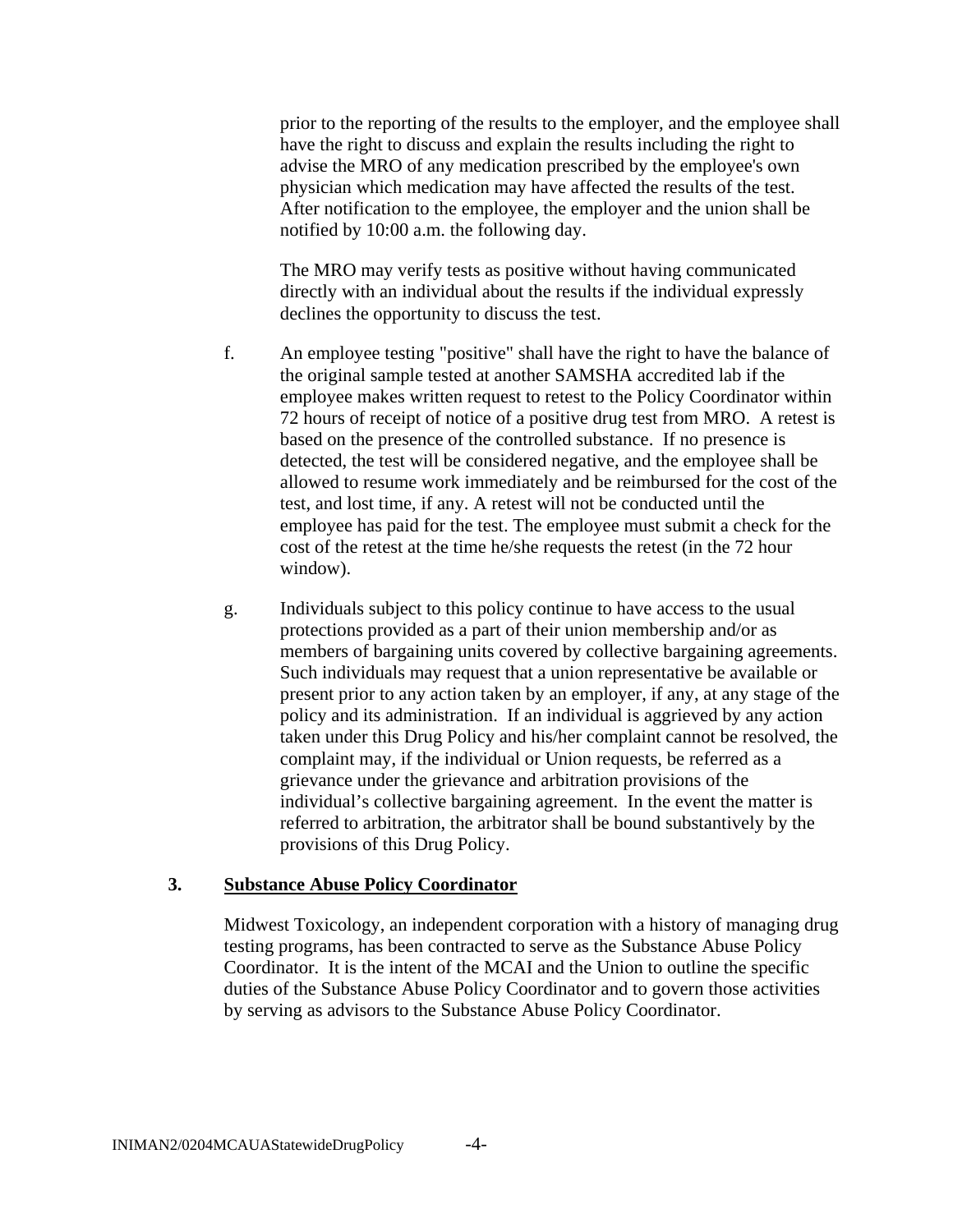prior to the reporting of the results to the employer, and the employee shall have the right to discuss and explain the results including the right to advise the MRO of any medication prescribed by the employee's own physician which medication may have affected the results of the test. After notification to the employee, the employer and the union shall be notified by 10:00 a.m. the following day.

The MRO may verify tests as positive without having communicated directly with an individual about the results if the individual expressly declines the opportunity to discuss the test.

- f. An employee testing "positive" shall have the right to have the balance of the original sample tested at another SAMSHA accredited lab if the employee makes written request to retest to the Policy Coordinator within 72 hours of receipt of notice of a positive drug test from MRO. A retest is based on the presence of the controlled substance. If no presence is detected, the test will be considered negative, and the employee shall be allowed to resume work immediately and be reimbursed for the cost of the test, and lost time, if any. A retest will not be conducted until the employee has paid for the test. The employee must submit a check for the cost of the retest at the time he/she requests the retest (in the 72 hour window).
- g. Individuals subject to this policy continue to have access to the usual protections provided as a part of their union membership and/or as members of bargaining units covered by collective bargaining agreements. Such individuals may request that a union representative be available or present prior to any action taken by an employer, if any, at any stage of the policy and its administration. If an individual is aggrieved by any action taken under this Drug Policy and his/her complaint cannot be resolved, the complaint may, if the individual or Union requests, be referred as a grievance under the grievance and arbitration provisions of the individual's collective bargaining agreement. In the event the matter is referred to arbitration, the arbitrator shall be bound substantively by the provisions of this Drug Policy.

#### **3. Substance Abuse Policy Coordinator**

Midwest Toxicology, an independent corporation with a history of managing drug testing programs, has been contracted to serve as the Substance Abuse Policy Coordinator. It is the intent of the MCAI and the Union to outline the specific duties of the Substance Abuse Policy Coordinator and to govern those activities by serving as advisors to the Substance Abuse Policy Coordinator.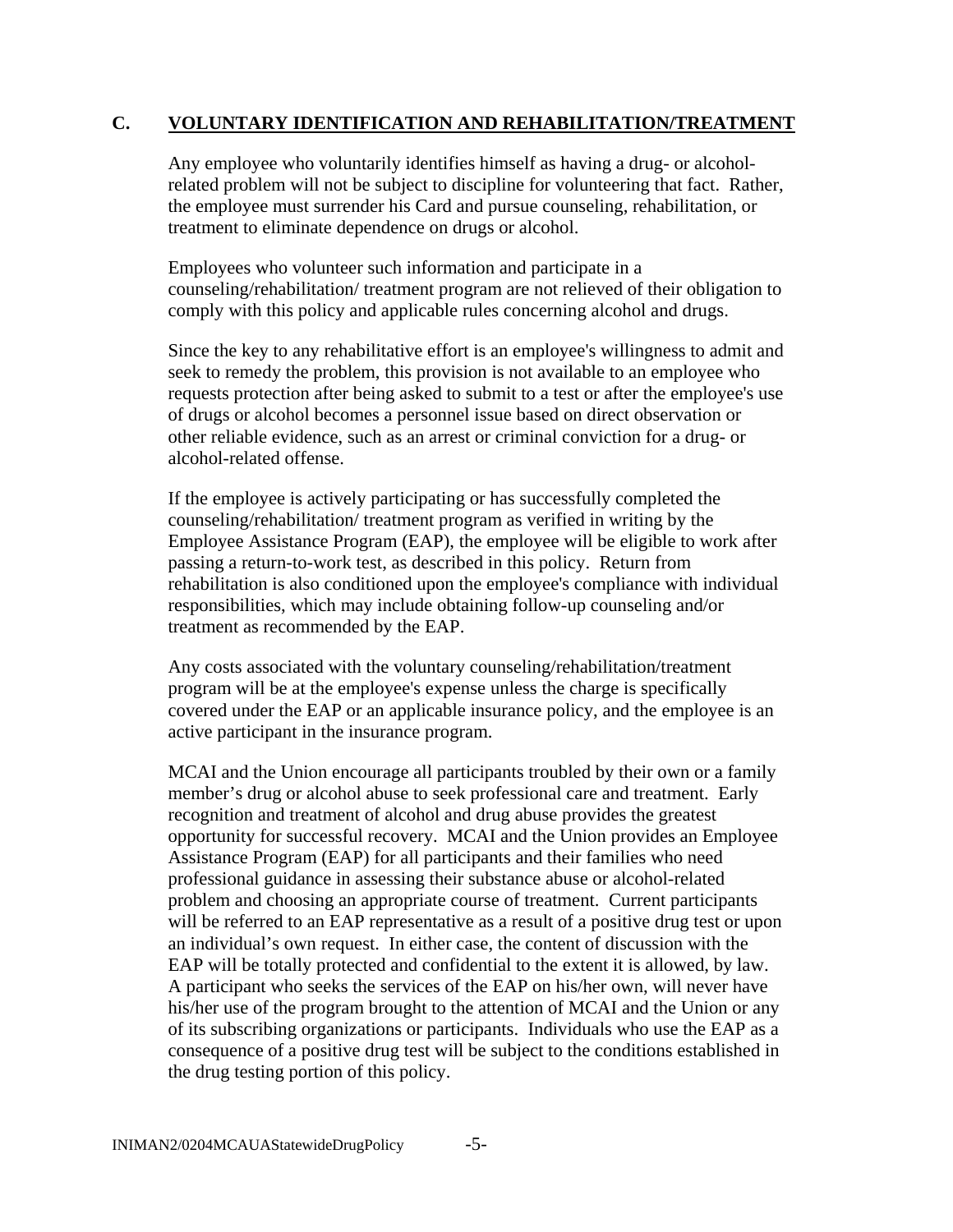#### **C. VOLUNTARY IDENTIFICATION AND REHABILITATION/TREATMENT**

Any employee who voluntarily identifies himself as having a drug- or alcoholrelated problem will not be subject to discipline for volunteering that fact. Rather, the employee must surrender his Card and pursue counseling, rehabilitation, or treatment to eliminate dependence on drugs or alcohol.

Employees who volunteer such information and participate in a counseling/rehabilitation/ treatment program are not relieved of their obligation to comply with this policy and applicable rules concerning alcohol and drugs.

Since the key to any rehabilitative effort is an employee's willingness to admit and seek to remedy the problem, this provision is not available to an employee who requests protection after being asked to submit to a test or after the employee's use of drugs or alcohol becomes a personnel issue based on direct observation or other reliable evidence, such as an arrest or criminal conviction for a drug- or alcohol-related offense.

If the employee is actively participating or has successfully completed the counseling/rehabilitation/ treatment program as verified in writing by the Employee Assistance Program (EAP), the employee will be eligible to work after passing a return-to-work test, as described in this policy. Return from rehabilitation is also conditioned upon the employee's compliance with individual responsibilities, which may include obtaining follow-up counseling and/or treatment as recommended by the EAP.

Any costs associated with the voluntary counseling/rehabilitation/treatment program will be at the employee's expense unless the charge is specifically covered under the EAP or an applicable insurance policy, and the employee is an active participant in the insurance program.

MCAI and the Union encourage all participants troubled by their own or a family member's drug or alcohol abuse to seek professional care and treatment. Early recognition and treatment of alcohol and drug abuse provides the greatest opportunity for successful recovery. MCAI and the Union provides an Employee Assistance Program (EAP) for all participants and their families who need professional guidance in assessing their substance abuse or alcohol-related problem and choosing an appropriate course of treatment. Current participants will be referred to an EAP representative as a result of a positive drug test or upon an individual's own request. In either case, the content of discussion with the EAP will be totally protected and confidential to the extent it is allowed, by law. A participant who seeks the services of the EAP on his/her own, will never have his/her use of the program brought to the attention of MCAI and the Union or any of its subscribing organizations or participants. Individuals who use the EAP as a consequence of a positive drug test will be subject to the conditions established in the drug testing portion of this policy.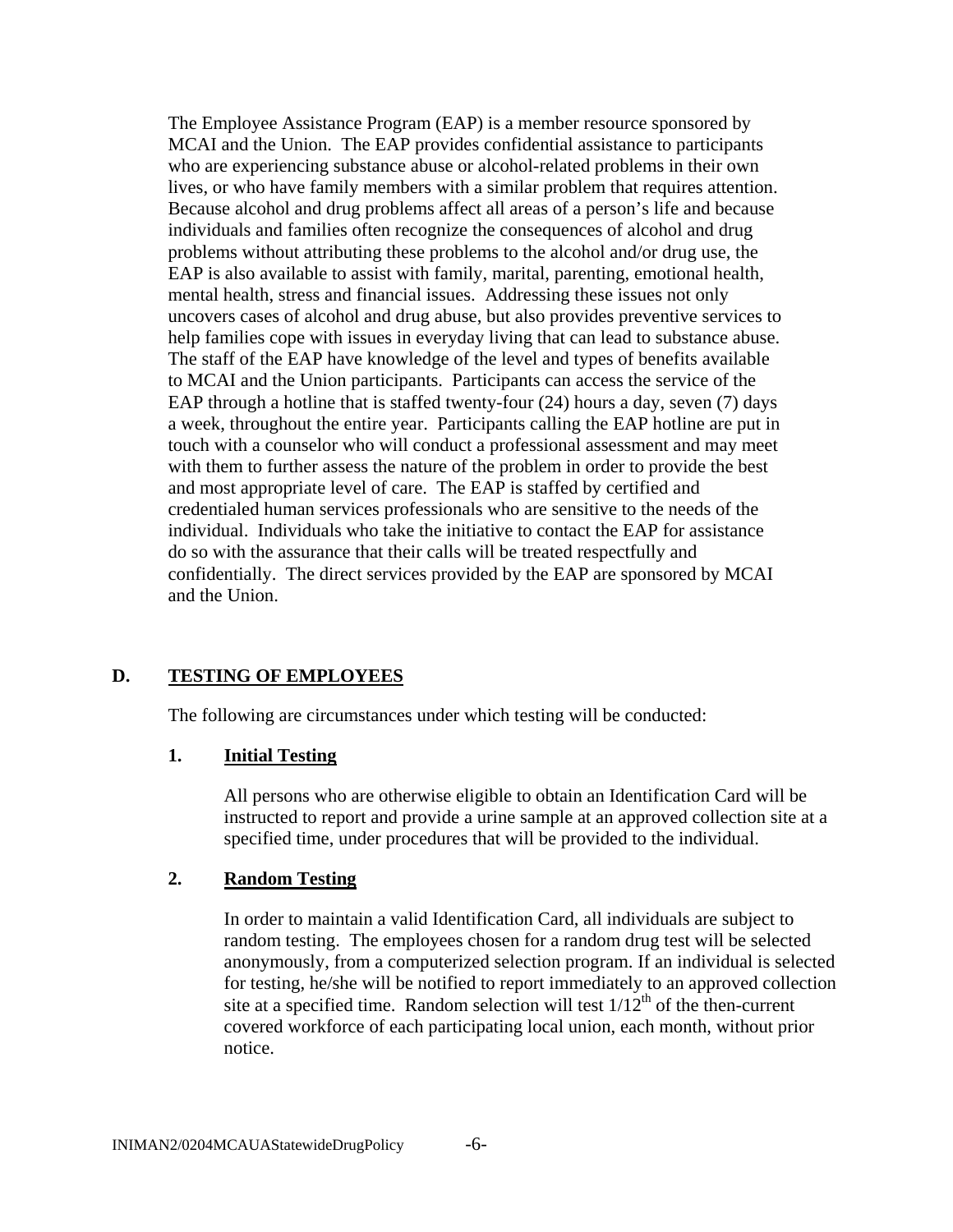The Employee Assistance Program (EAP) is a member resource sponsored by MCAI and the Union. The EAP provides confidential assistance to participants who are experiencing substance abuse or alcohol-related problems in their own lives, or who have family members with a similar problem that requires attention. Because alcohol and drug problems affect all areas of a person's life and because individuals and families often recognize the consequences of alcohol and drug problems without attributing these problems to the alcohol and/or drug use, the EAP is also available to assist with family, marital, parenting, emotional health, mental health, stress and financial issues. Addressing these issues not only uncovers cases of alcohol and drug abuse, but also provides preventive services to help families cope with issues in everyday living that can lead to substance abuse. The staff of the EAP have knowledge of the level and types of benefits available to MCAI and the Union participants. Participants can access the service of the EAP through a hotline that is staffed twenty-four (24) hours a day, seven (7) days a week, throughout the entire year. Participants calling the EAP hotline are put in touch with a counselor who will conduct a professional assessment and may meet with them to further assess the nature of the problem in order to provide the best and most appropriate level of care. The EAP is staffed by certified and credentialed human services professionals who are sensitive to the needs of the individual. Individuals who take the initiative to contact the EAP for assistance do so with the assurance that their calls will be treated respectfully and confidentially. The direct services provided by the EAP are sponsored by MCAI and the Union.

#### **D. TESTING OF EMPLOYEES**

The following are circumstances under which testing will be conducted:

#### **1. Initial Testing**

All persons who are otherwise eligible to obtain an Identification Card will be instructed to report and provide a urine sample at an approved collection site at a specified time, under procedures that will be provided to the individual.

#### **2. Random Testing**

In order to maintain a valid Identification Card, all individuals are subject to random testing. The employees chosen for a random drug test will be selected anonymously, from a computerized selection program. If an individual is selected for testing, he/she will be notified to report immediately to an approved collection site at a specified time. Random selection will test  $1/12<sup>th</sup>$  of the then-current covered workforce of each participating local union, each month, without prior notice.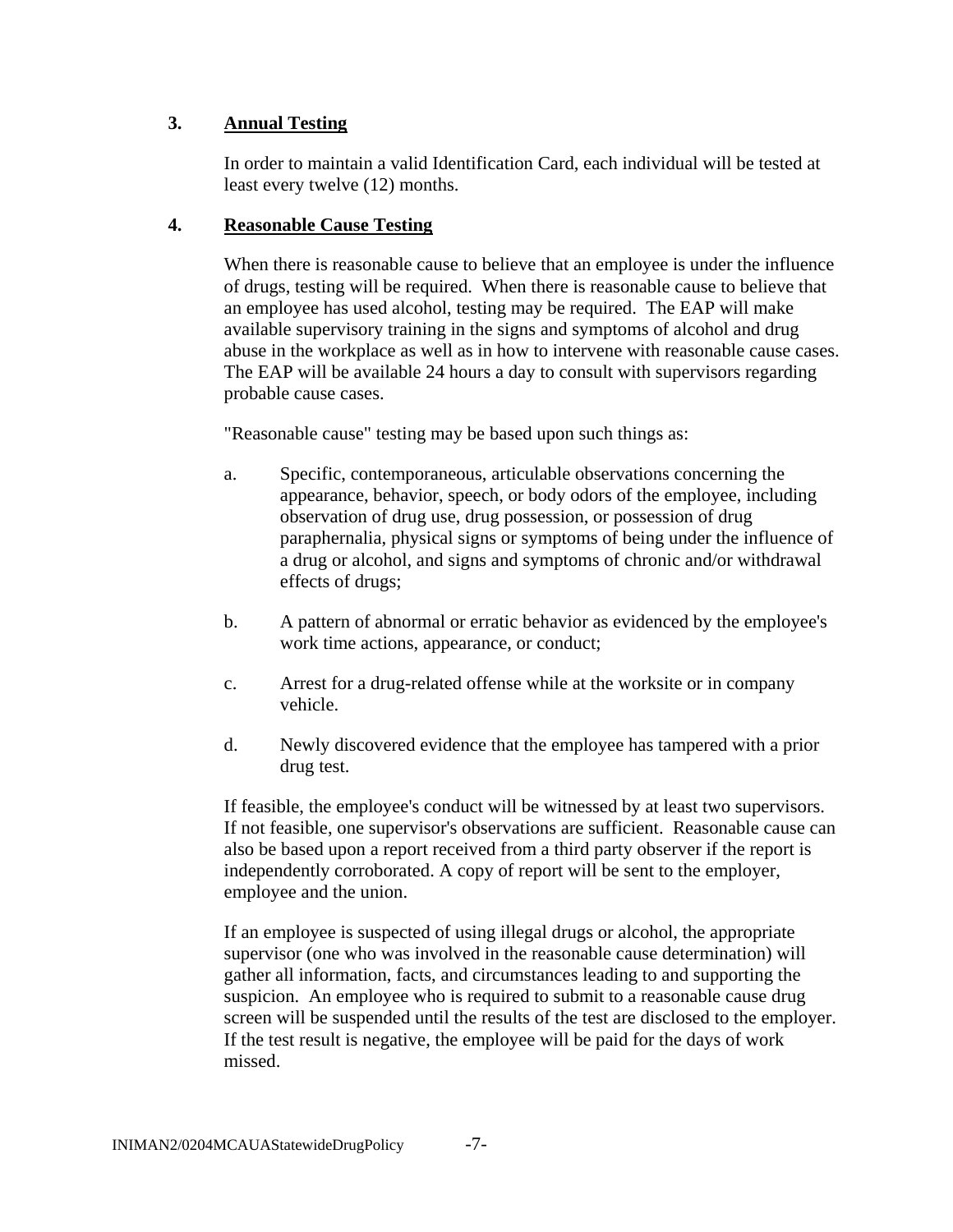### **3. Annual Testing**

In order to maintain a valid Identification Card, each individual will be tested at least every twelve (12) months.

#### **4. Reasonable Cause Testing**

When there is reasonable cause to believe that an employee is under the influence of drugs, testing will be required. When there is reasonable cause to believe that an employee has used alcohol, testing may be required. The EAP will make available supervisory training in the signs and symptoms of alcohol and drug abuse in the workplace as well as in how to intervene with reasonable cause cases. The EAP will be available 24 hours a day to consult with supervisors regarding probable cause cases.

"Reasonable cause" testing may be based upon such things as:

- a. Specific, contemporaneous, articulable observations concerning the appearance, behavior, speech, or body odors of the employee, including observation of drug use, drug possession, or possession of drug paraphernalia, physical signs or symptoms of being under the influence of a drug or alcohol, and signs and symptoms of chronic and/or withdrawal effects of drugs;
- b. A pattern of abnormal or erratic behavior as evidenced by the employee's work time actions, appearance, or conduct;
- c. Arrest for a drug-related offense while at the worksite or in company vehicle.
- d. Newly discovered evidence that the employee has tampered with a prior drug test.

If feasible, the employee's conduct will be witnessed by at least two supervisors. If not feasible, one supervisor's observations are sufficient. Reasonable cause can also be based upon a report received from a third party observer if the report is independently corroborated. A copy of report will be sent to the employer, employee and the union.

If an employee is suspected of using illegal drugs or alcohol, the appropriate supervisor (one who was involved in the reasonable cause determination) will gather all information, facts, and circumstances leading to and supporting the suspicion. An employee who is required to submit to a reasonable cause drug screen will be suspended until the results of the test are disclosed to the employer. If the test result is negative, the employee will be paid for the days of work missed.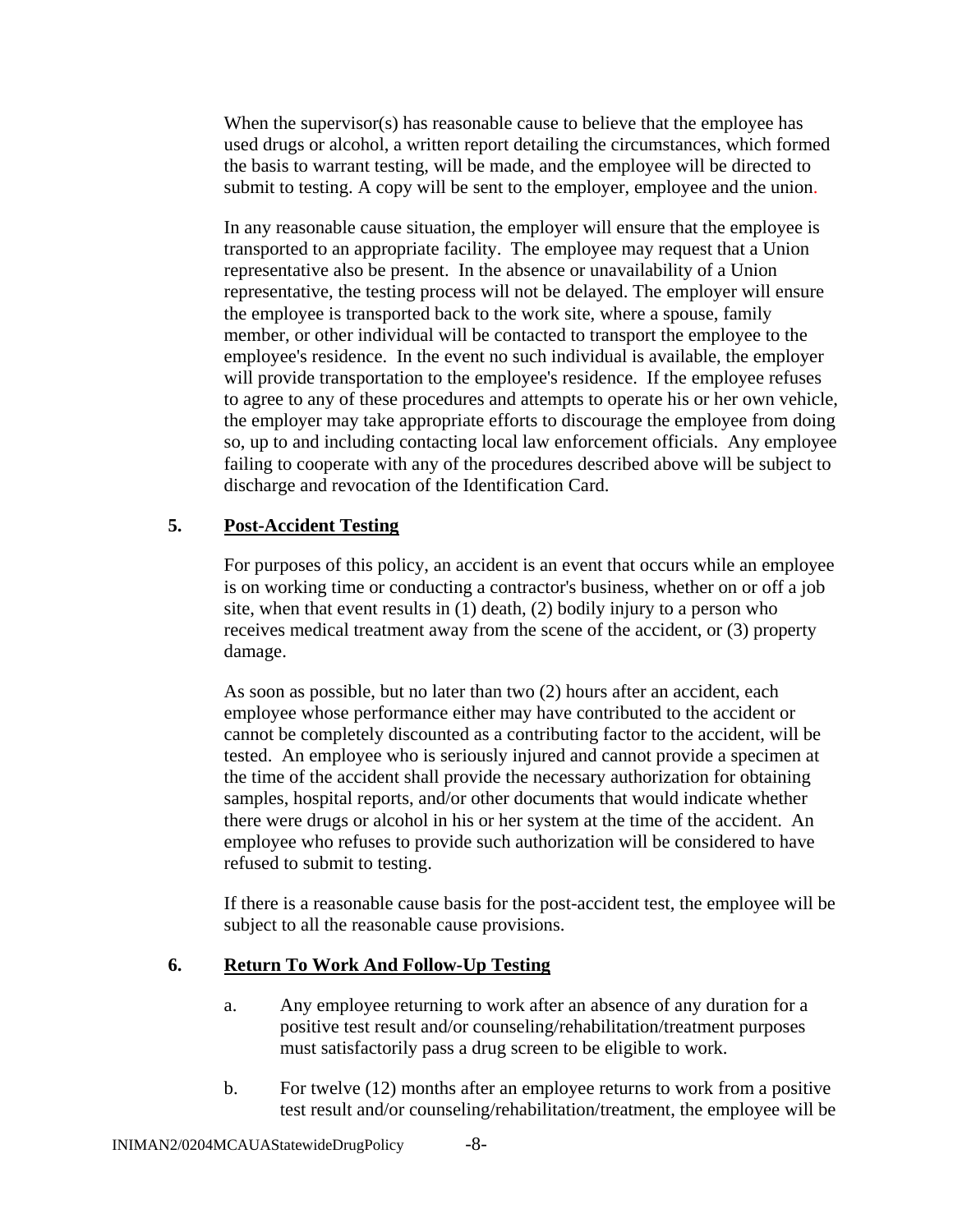When the supervisor(s) has reasonable cause to believe that the employee has used drugs or alcohol, a written report detailing the circumstances, which formed the basis to warrant testing, will be made, and the employee will be directed to submit to testing. A copy will be sent to the employer, employee and the union.

In any reasonable cause situation, the employer will ensure that the employee is transported to an appropriate facility. The employee may request that a Union representative also be present. In the absence or unavailability of a Union representative, the testing process will not be delayed. The employer will ensure the employee is transported back to the work site, where a spouse, family member, or other individual will be contacted to transport the employee to the employee's residence. In the event no such individual is available, the employer will provide transportation to the employee's residence. If the employee refuses to agree to any of these procedures and attempts to operate his or her own vehicle, the employer may take appropriate efforts to discourage the employee from doing so, up to and including contacting local law enforcement officials. Any employee failing to cooperate with any of the procedures described above will be subject to discharge and revocation of the Identification Card.

### **5. Post-Accident Testing**

For purposes of this policy, an accident is an event that occurs while an employee is on working time or conducting a contractor's business, whether on or off a job site, when that event results in (1) death, (2) bodily injury to a person who receives medical treatment away from the scene of the accident, or (3) property damage.

As soon as possible, but no later than two (2) hours after an accident, each employee whose performance either may have contributed to the accident or cannot be completely discounted as a contributing factor to the accident, will be tested. An employee who is seriously injured and cannot provide a specimen at the time of the accident shall provide the necessary authorization for obtaining samples, hospital reports, and/or other documents that would indicate whether there were drugs or alcohol in his or her system at the time of the accident. An employee who refuses to provide such authorization will be considered to have refused to submit to testing.

If there is a reasonable cause basis for the post-accident test, the employee will be subject to all the reasonable cause provisions.

#### **6. Return To Work And Follow-Up Testing**

- a. Any employee returning to work after an absence of any duration for a positive test result and/or counseling/rehabilitation/treatment purposes must satisfactorily pass a drug screen to be eligible to work.
- b. For twelve (12) months after an employee returns to work from a positive test result and/or counseling/rehabilitation/treatment, the employee will be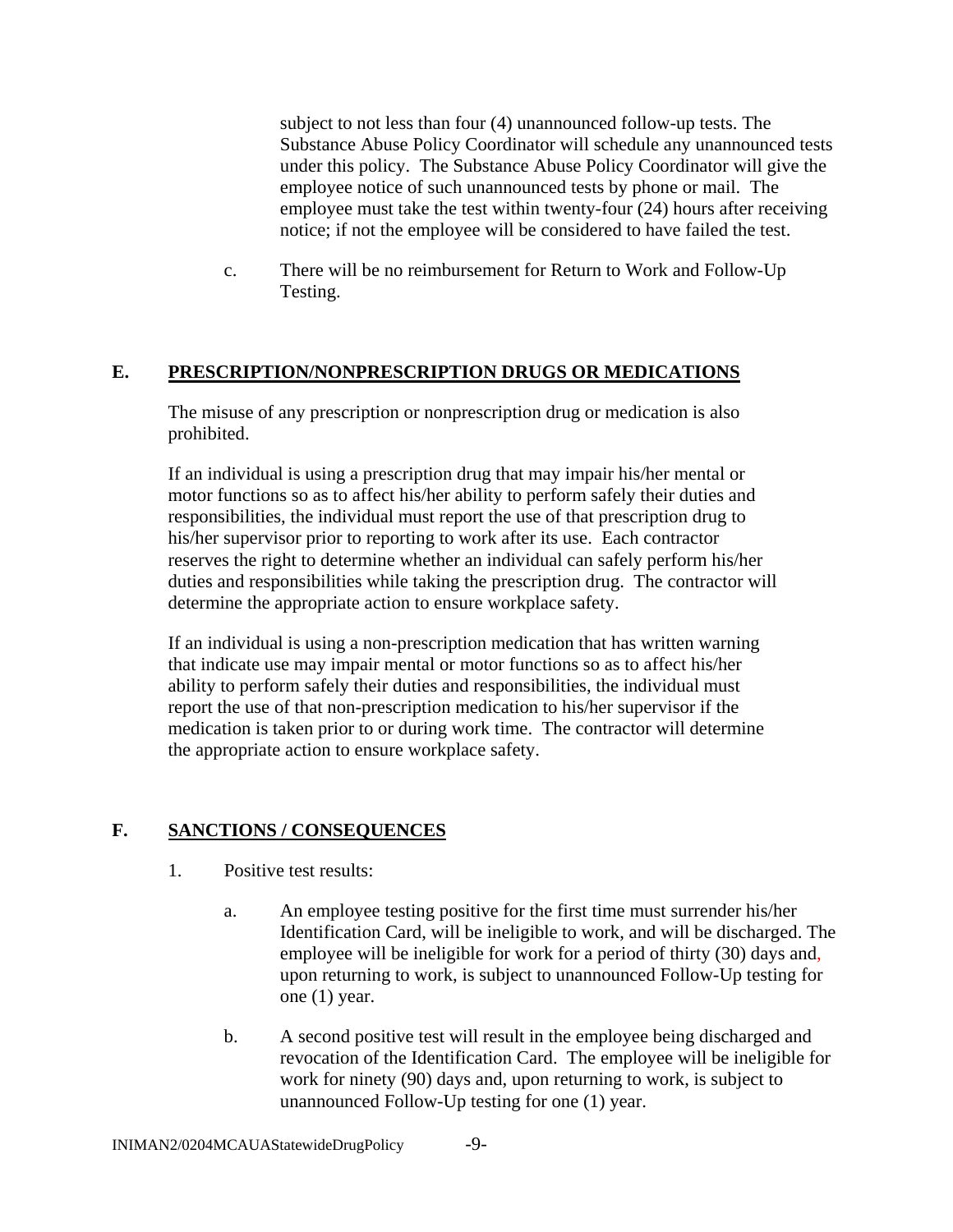subject to not less than four (4) unannounced follow-up tests. The Substance Abuse Policy Coordinator will schedule any unannounced tests under this policy. The Substance Abuse Policy Coordinator will give the employee notice of such unannounced tests by phone or mail. The employee must take the test within twenty-four (24) hours after receiving notice; if not the employee will be considered to have failed the test.

c. There will be no reimbursement for Return to Work and Follow-Up Testing.

### **E. PRESCRIPTION/NONPRESCRIPTION DRUGS OR MEDICATIONS**

The misuse of any prescription or nonprescription drug or medication is also prohibited.

If an individual is using a prescription drug that may impair his/her mental or motor functions so as to affect his/her ability to perform safely their duties and responsibilities, the individual must report the use of that prescription drug to his/her supervisor prior to reporting to work after its use. Each contractor reserves the right to determine whether an individual can safely perform his/her duties and responsibilities while taking the prescription drug. The contractor will determine the appropriate action to ensure workplace safety.

If an individual is using a non-prescription medication that has written warning that indicate use may impair mental or motor functions so as to affect his/her ability to perform safely their duties and responsibilities, the individual must report the use of that non-prescription medication to his/her supervisor if the medication is taken prior to or during work time. The contractor will determine the appropriate action to ensure workplace safety.

# **F. SANCTIONS / CONSEQUENCES**

- 1. Positive test results:
	- a. An employee testing positive for the first time must surrender his/her Identification Card, will be ineligible to work, and will be discharged. The employee will be ineligible for work for a period of thirty (30) days and, upon returning to work, is subject to unannounced Follow-Up testing for one (1) year.
	- b. A second positive test will result in the employee being discharged and revocation of the Identification Card. The employee will be ineligible for work for ninety (90) days and, upon returning to work, is subject to unannounced Follow-Up testing for one (1) year.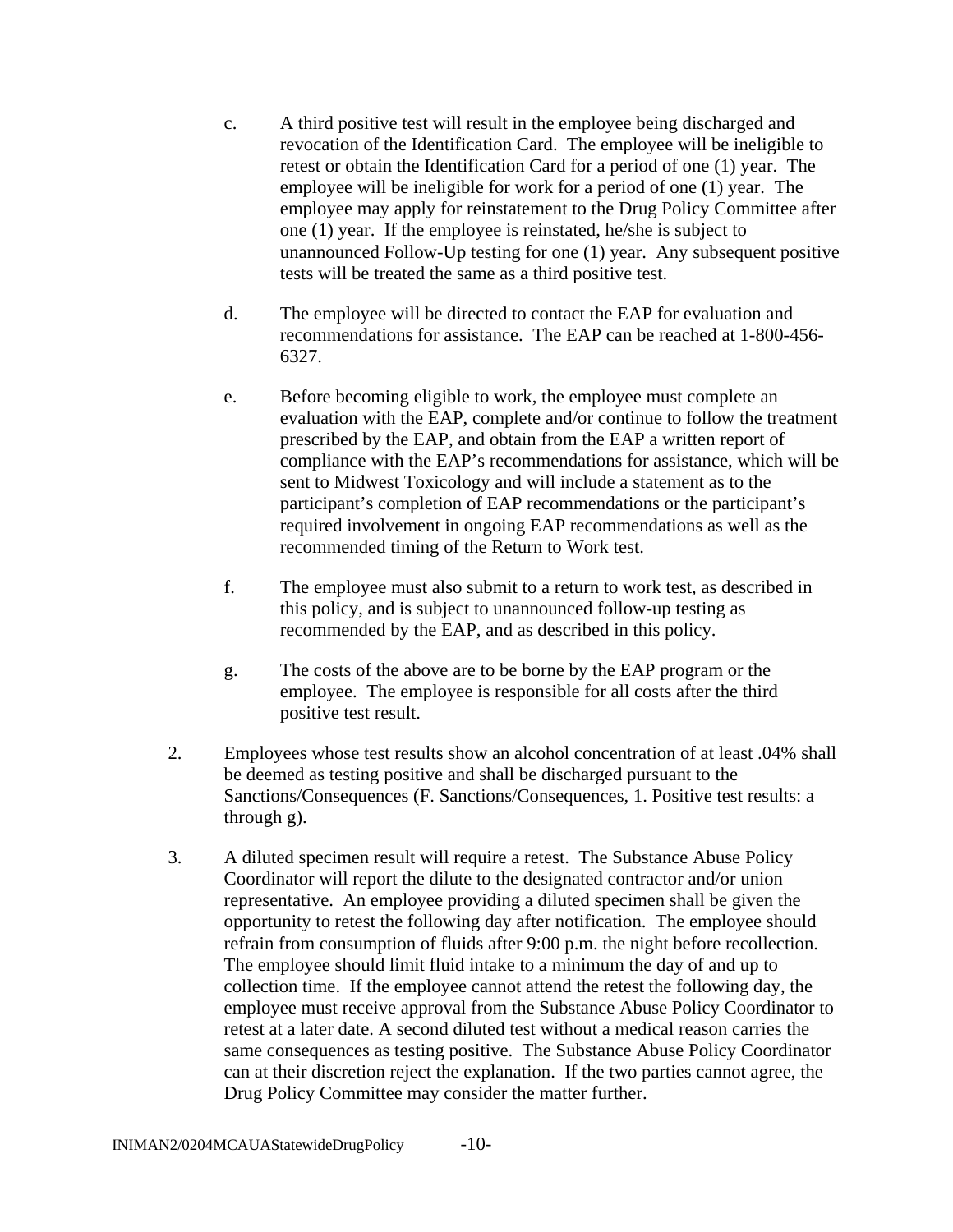- c. A third positive test will result in the employee being discharged and revocation of the Identification Card. The employee will be ineligible to retest or obtain the Identification Card for a period of one (1) year. The employee will be ineligible for work for a period of one (1) year. The employee may apply for reinstatement to the Drug Policy Committee after one (1) year. If the employee is reinstated, he/she is subject to unannounced Follow-Up testing for one (1) year. Any subsequent positive tests will be treated the same as a third positive test.
- d. The employee will be directed to contact the EAP for evaluation and recommendations for assistance. The EAP can be reached at 1-800-456- 6327.
- e. Before becoming eligible to work, the employee must complete an evaluation with the EAP, complete and/or continue to follow the treatment prescribed by the EAP, and obtain from the EAP a written report of compliance with the EAP's recommendations for assistance, which will be sent to Midwest Toxicology and will include a statement as to the participant's completion of EAP recommendations or the participant's required involvement in ongoing EAP recommendations as well as the recommended timing of the Return to Work test.
- f. The employee must also submit to a return to work test, as described in this policy, and is subject to unannounced follow-up testing as recommended by the EAP, and as described in this policy.
- g. The costs of the above are to be borne by the EAP program or the employee. The employee is responsible for all costs after the third positive test result.
- 2. Employees whose test results show an alcohol concentration of at least .04% shall be deemed as testing positive and shall be discharged pursuant to the Sanctions/Consequences (F. Sanctions/Consequences, 1. Positive test results: a through g).
- 3. A diluted specimen result will require a retest. The Substance Abuse Policy Coordinator will report the dilute to the designated contractor and/or union representative. An employee providing a diluted specimen shall be given the opportunity to retest the following day after notification. The employee should refrain from consumption of fluids after 9:00 p.m. the night before recollection. The employee should limit fluid intake to a minimum the day of and up to collection time. If the employee cannot attend the retest the following day, the employee must receive approval from the Substance Abuse Policy Coordinator to retest at a later date. A second diluted test without a medical reason carries the same consequences as testing positive. The Substance Abuse Policy Coordinator can at their discretion reject the explanation. If the two parties cannot agree, the Drug Policy Committee may consider the matter further.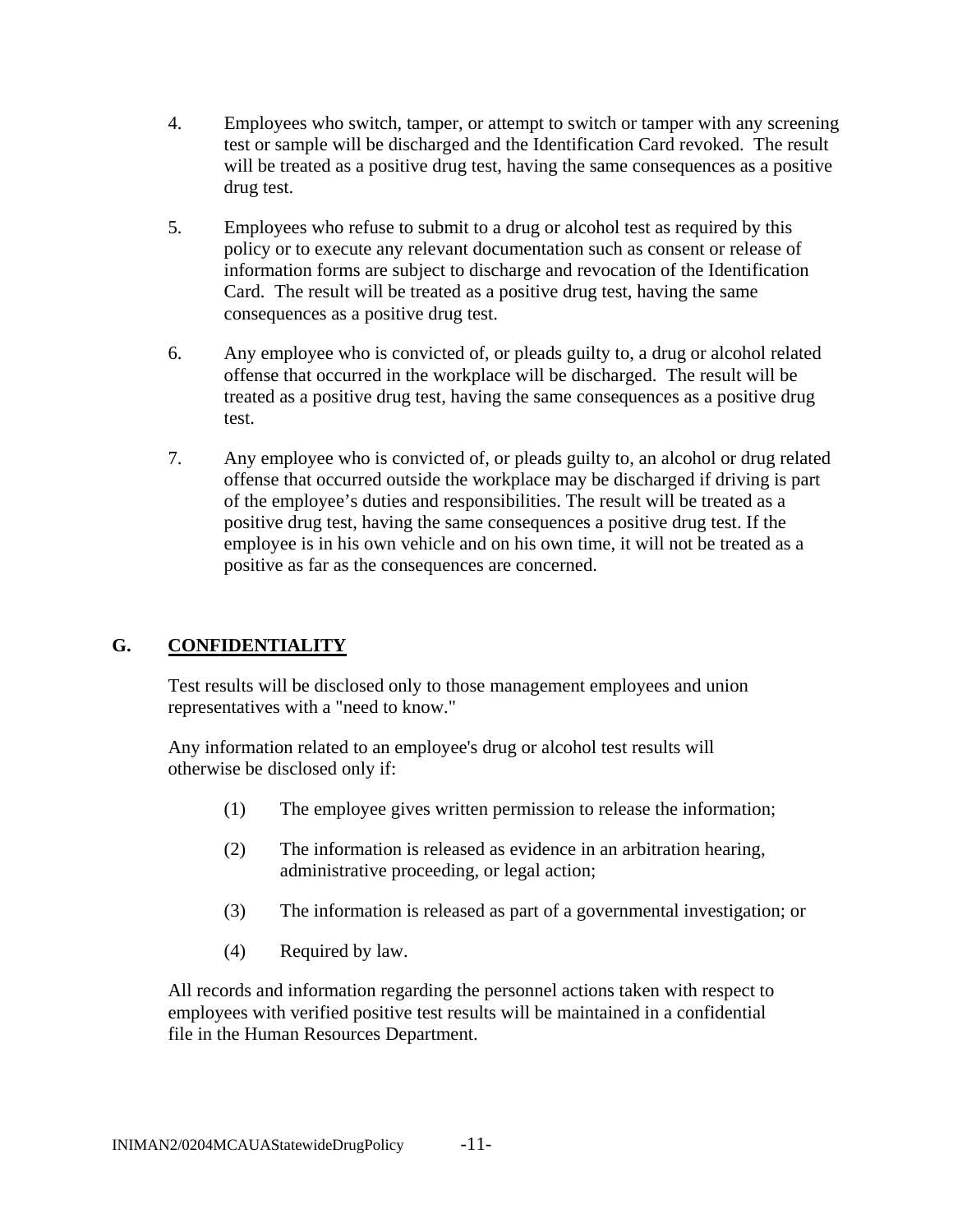- 4. Employees who switch, tamper, or attempt to switch or tamper with any screening test or sample will be discharged and the Identification Card revoked. The result will be treated as a positive drug test, having the same consequences as a positive drug test.
- 5. Employees who refuse to submit to a drug or alcohol test as required by this policy or to execute any relevant documentation such as consent or release of information forms are subject to discharge and revocation of the Identification Card. The result will be treated as a positive drug test, having the same consequences as a positive drug test.
- 6. Any employee who is convicted of, or pleads guilty to, a drug or alcohol related offense that occurred in the workplace will be discharged. The result will be treated as a positive drug test, having the same consequences as a positive drug test.
- 7. Any employee who is convicted of, or pleads guilty to, an alcohol or drug related offense that occurred outside the workplace may be discharged if driving is part of the employee's duties and responsibilities. The result will be treated as a positive drug test, having the same consequences a positive drug test. If the employee is in his own vehicle and on his own time, it will not be treated as a positive as far as the consequences are concerned.

# **G. CONFIDENTIALITY**

Test results will be disclosed only to those management employees and union representatives with a "need to know."

Any information related to an employee's drug or alcohol test results will otherwise be disclosed only if:

- (1) The employee gives written permission to release the information;
- (2) The information is released as evidence in an arbitration hearing, administrative proceeding, or legal action;
- (3) The information is released as part of a governmental investigation; or
- (4) Required by law.

All records and information regarding the personnel actions taken with respect to employees with verified positive test results will be maintained in a confidential file in the Human Resources Department.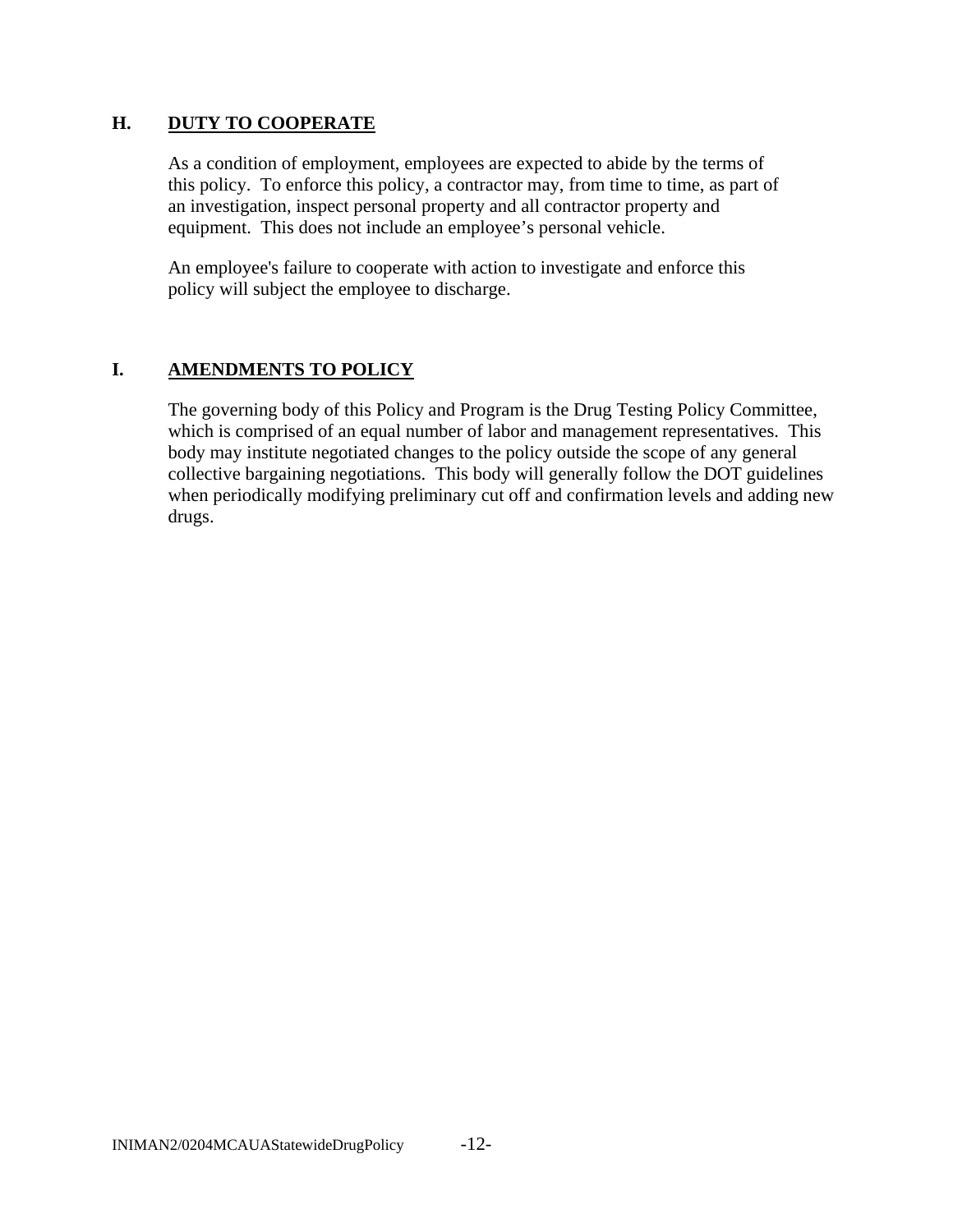#### **H. DUTY TO COOPERATE**

As a condition of employment, employees are expected to abide by the terms of this policy. To enforce this policy, a contractor may, from time to time, as part of an investigation, inspect personal property and all contractor property and equipment. This does not include an employee's personal vehicle.

An employee's failure to cooperate with action to investigate and enforce this policy will subject the employee to discharge.

### **I. AMENDMENTS TO POLICY**

The governing body of this Policy and Program is the Drug Testing Policy Committee, which is comprised of an equal number of labor and management representatives. This body may institute negotiated changes to the policy outside the scope of any general collective bargaining negotiations. This body will generally follow the DOT guidelines when periodically modifying preliminary cut off and confirmation levels and adding new drugs.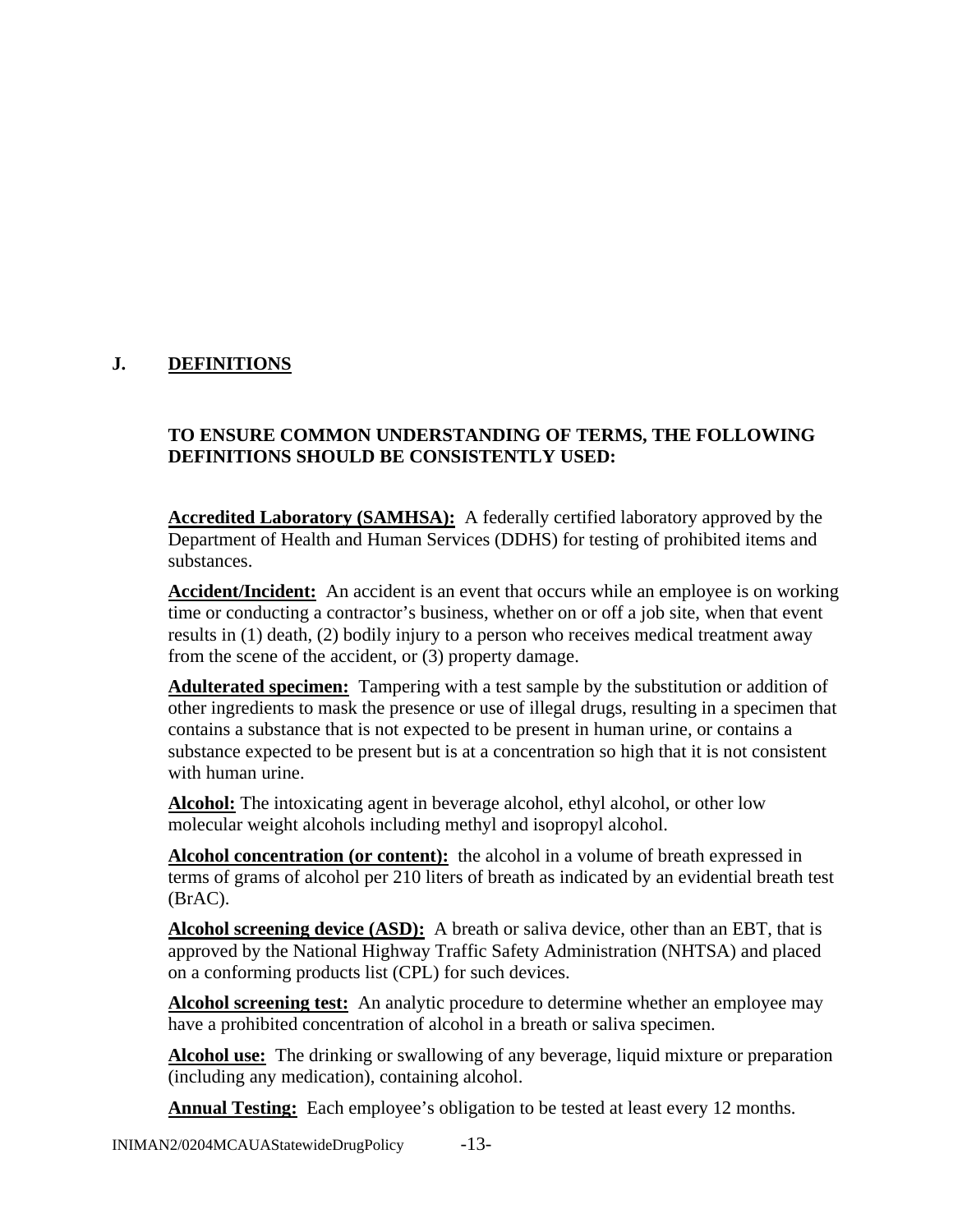# **J. DEFINITIONS**

#### **TO ENSURE COMMON UNDERSTANDING OF TERMS, THE FOLLOWING DEFINITIONS SHOULD BE CONSISTENTLY USED:**

**Accredited Laboratory (SAMHSA):** A federally certified laboratory approved by the Department of Health and Human Services (DDHS) for testing of prohibited items and substances.

**Accident/Incident:** An accident is an event that occurs while an employee is on working time or conducting a contractor's business, whether on or off a job site, when that event results in (1) death, (2) bodily injury to a person who receives medical treatment away from the scene of the accident, or (3) property damage.

**Adulterated specimen:** Tampering with a test sample by the substitution or addition of other ingredients to mask the presence or use of illegal drugs, resulting in a specimen that contains a substance that is not expected to be present in human urine, or contains a substance expected to be present but is at a concentration so high that it is not consistent with human urine.

**Alcohol:** The intoxicating agent in beverage alcohol, ethyl alcohol, or other low molecular weight alcohols including methyl and isopropyl alcohol.

**Alcohol concentration (or content):** the alcohol in a volume of breath expressed in terms of grams of alcohol per 210 liters of breath as indicated by an evidential breath test (BrAC).

**Alcohol screening device (ASD):** A breath or saliva device, other than an EBT, that is approved by the National Highway Traffic Safety Administration (NHTSA) and placed on a conforming products list (CPL) for such devices.

**Alcohol screening test:** An analytic procedure to determine whether an employee may have a prohibited concentration of alcohol in a breath or saliva specimen.

**Alcohol use:** The drinking or swallowing of any beverage, liquid mixture or preparation (including any medication), containing alcohol.

**Annual Testing:** Each employee's obligation to be tested at least every 12 months.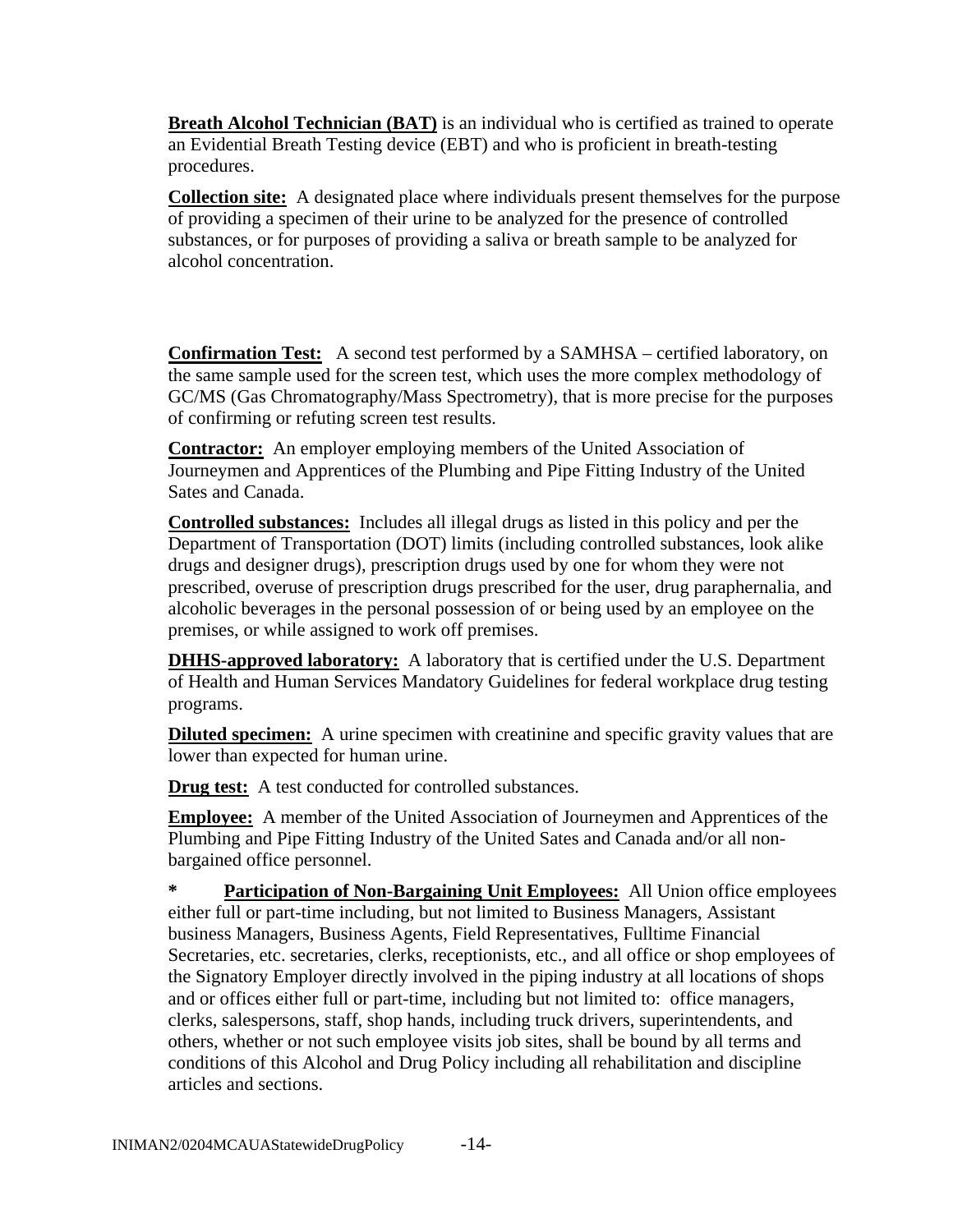**Breath Alcohol Technician (BAT)** is an individual who is certified as trained to operate an Evidential Breath Testing device (EBT) and who is proficient in breath-testing procedures.

**Collection site:** A designated place where individuals present themselves for the purpose of providing a specimen of their urine to be analyzed for the presence of controlled substances, or for purposes of providing a saliva or breath sample to be analyzed for alcohol concentration.

**Confirmation Test:** A second test performed by a SAMHSA – certified laboratory, on the same sample used for the screen test, which uses the more complex methodology of GC/MS (Gas Chromatography/Mass Spectrometry), that is more precise for the purposes of confirming or refuting screen test results.

**Contractor:** An employer employing members of the United Association of Journeymen and Apprentices of the Plumbing and Pipe Fitting Industry of the United Sates and Canada.

**Controlled substances:** Includes all illegal drugs as listed in this policy and per the Department of Transportation (DOT) limits (including controlled substances, look alike drugs and designer drugs), prescription drugs used by one for whom they were not prescribed, overuse of prescription drugs prescribed for the user, drug paraphernalia, and alcoholic beverages in the personal possession of or being used by an employee on the premises, or while assigned to work off premises.

**DHHS-approved laboratory:** A laboratory that is certified under the U.S. Department of Health and Human Services Mandatory Guidelines for federal workplace drug testing programs.

**Diluted specimen:** A urine specimen with creatinine and specific gravity values that are lower than expected for human urine.

**Drug test:** A test conducted for controlled substances.

**Employee:** A member of the United Association of Journeymen and Apprentices of the Plumbing and Pipe Fitting Industry of the United Sates and Canada and/or all nonbargained office personnel.

**\* Participation of Non-Bargaining Unit Employees:** All Union office employees either full or part-time including, but not limited to Business Managers, Assistant business Managers, Business Agents, Field Representatives, Fulltime Financial Secretaries, etc. secretaries, clerks, receptionists, etc., and all office or shop employees of the Signatory Employer directly involved in the piping industry at all locations of shops and or offices either full or part-time, including but not limited to: office managers, clerks, salespersons, staff, shop hands, including truck drivers, superintendents, and others, whether or not such employee visits job sites, shall be bound by all terms and conditions of this Alcohol and Drug Policy including all rehabilitation and discipline articles and sections.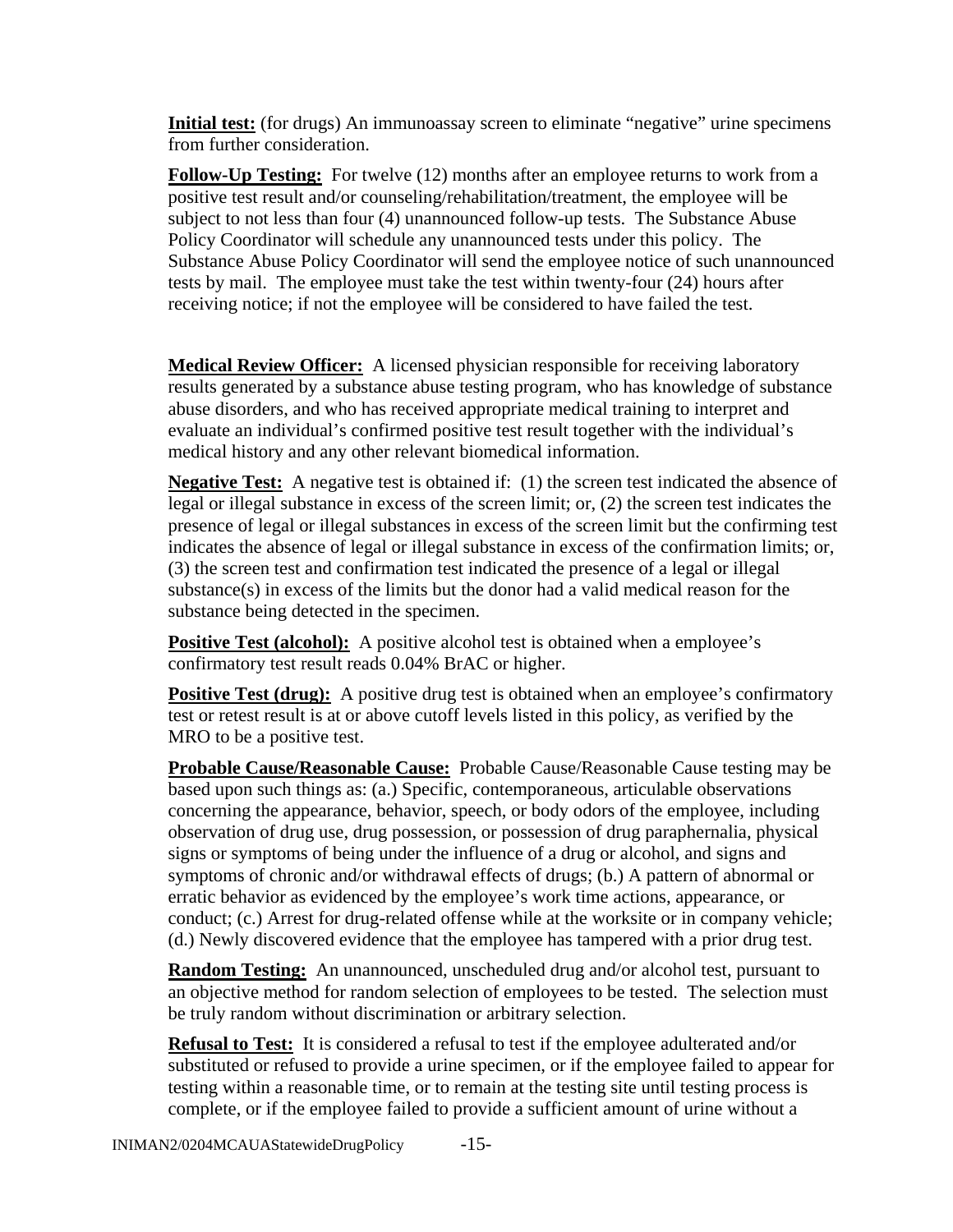**Initial test:** (for drugs) An immunoassay screen to eliminate "negative" urine specimens from further consideration.

**Follow-Up Testing:** For twelve (12) months after an employee returns to work from a positive test result and/or counseling/rehabilitation/treatment, the employee will be subject to not less than four (4) unannounced follow-up tests. The Substance Abuse Policy Coordinator will schedule any unannounced tests under this policy. The Substance Abuse Policy Coordinator will send the employee notice of such unannounced tests by mail. The employee must take the test within twenty-four (24) hours after receiving notice; if not the employee will be considered to have failed the test.

**Medical Review Officer:** A licensed physician responsible for receiving laboratory results generated by a substance abuse testing program, who has knowledge of substance abuse disorders, and who has received appropriate medical training to interpret and evaluate an individual's confirmed positive test result together with the individual's medical history and any other relevant biomedical information.

**Negative Test:** A negative test is obtained if: (1) the screen test indicated the absence of legal or illegal substance in excess of the screen limit; or, (2) the screen test indicates the presence of legal or illegal substances in excess of the screen limit but the confirming test indicates the absence of legal or illegal substance in excess of the confirmation limits; or, (3) the screen test and confirmation test indicated the presence of a legal or illegal substance(s) in excess of the limits but the donor had a valid medical reason for the substance being detected in the specimen.

**Positive Test (alcohol):** A positive alcohol test is obtained when a employee's confirmatory test result reads 0.04% BrAC or higher.

**Positive Test (drug):** A positive drug test is obtained when an employee's confirmatory test or retest result is at or above cutoff levels listed in this policy, as verified by the MRO to be a positive test.

**Probable Cause/Reasonable Cause:** Probable Cause/Reasonable Cause testing may be based upon such things as: (a.) Specific, contemporaneous, articulable observations concerning the appearance, behavior, speech, or body odors of the employee, including observation of drug use, drug possession, or possession of drug paraphernalia, physical signs or symptoms of being under the influence of a drug or alcohol, and signs and symptoms of chronic and/or withdrawal effects of drugs; (b.) A pattern of abnormal or erratic behavior as evidenced by the employee's work time actions, appearance, or conduct; (c.) Arrest for drug-related offense while at the worksite or in company vehicle; (d.) Newly discovered evidence that the employee has tampered with a prior drug test.

**Random Testing:** An unannounced, unscheduled drug and/or alcohol test, pursuant to an objective method for random selection of employees to be tested. The selection must be truly random without discrimination or arbitrary selection.

**Refusal to Test:** It is considered a refusal to test if the employee adulterated and/or substituted or refused to provide a urine specimen, or if the employee failed to appear for testing within a reasonable time, or to remain at the testing site until testing process is complete, or if the employee failed to provide a sufficient amount of urine without a